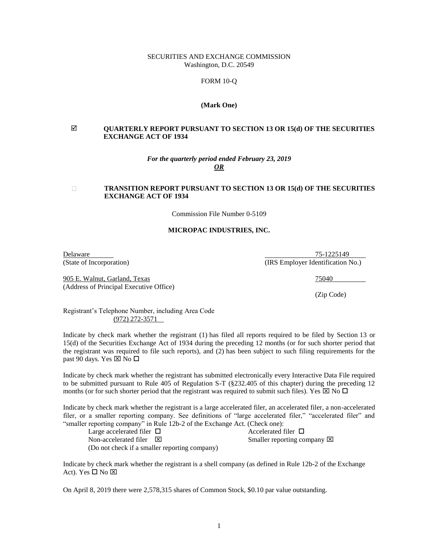### SECURITIES AND EXCHANGE COMMISSION Washington, D.C. 20549

## FORM 10-Q

### **(Mark One)**

## **QUARTERLY REPORT PURSUANT TO SECTION 13 OR 15(d) OF THE SECURITIES EXCHANGE ACT OF 1934**

### *For the quarterly period ended February 23, 2019 OR*

#### $\Box$ **TRANSITION REPORT PURSUANT TO SECTION 13 OR 15(d) OF THE SECURITIES EXCHANGE ACT OF 1934**

Commission File Number 0-5109

### **MICROPAC INDUSTRIES, INC.**

905 E. Walnut, Garland, Texas 75040 (Address of Principal Executive Office)

Delaware 75-1225149 (State of Incorporation) (IRS Employer Identification No.)

(Zip Code)

Registrant's Telephone Number, including Area Code (972) 272-3571

Indicate by check mark whether the registrant (1) has filed all reports required to be filed by Section 13 or 15(d) of the Securities Exchange Act of 1934 during the preceding 12 months (or for such shorter period that the registrant was required to file such reports), and (2) has been subject to such filing requirements for the past 90 days. Yes  $\boxtimes$  No  $\square$ 

Indicate by check mark whether the registrant has submitted electronically every Interactive Data File required to be submitted pursuant to Rule 405 of Regulation S-T (§232.405 of this chapter) during the preceding 12 months (or for such shorter period that the registrant was required to submit such files). Yes  $\boxtimes$  No  $\square$ 

Indicate by check mark whether the registrant is a large accelerated filer, an accelerated filer, a non-accelerated filer, or a smaller reporting company. See definitions of "large accelerated filer," "accelerated filer" and "smaller reporting company" in Rule 12b-2 of the Exchange Act. (Check one):

| .                                             |                                       |
|-----------------------------------------------|---------------------------------------|
| Large accelerated filer $\Box$                | Accelerated filer $\Box$              |
| Non-accelerated filer $\boxtimes$             | Smaller reporting company $\boxtimes$ |
| (Do not check if a smaller reporting company) |                                       |

Indicate by check mark whether the registrant is a shell company (as defined in Rule 12b-2 of the Exchange Act). Yes  $\square$  No  $\square$ 

On April 8, 2019 there were 2,578,315 shares of Common Stock, \$0.10 par value outstanding.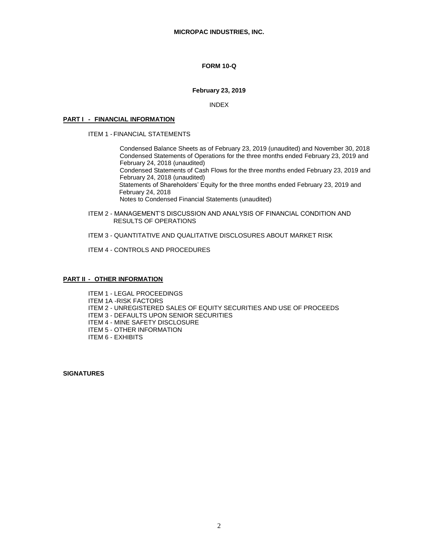## **FORM 10-Q**

### **February 23, 2019**

INDEX

### **PART I - FINANCIAL INFORMATION**

ITEM 1 - FINANCIAL STATEMENTS

Condensed Balance Sheets as of February 23, 2019 (unaudited) and November 30, 2018 Condensed Statements of Operations for the three months ended February 23, 2019 and February 24, 2018 (unaudited)

Condensed Statements of Cash Flows for the three months ended February 23, 2019 and February 24, 2018 (unaudited)

 Statements of Shareholders' Equity for the three months ended February 23, 2019 and February 24, 2018

Notes to Condensed Financial Statements (unaudited)

ITEM 2 - MANAGEMENT'S DISCUSSION AND ANALYSIS OF FINANCIAL CONDITION AND RESULTS OF OPERATIONS

ITEM 3 - QUANTITATIVE AND QUALITATIVE DISCLOSURES ABOUT MARKET RISK

ITEM 4 - CONTROLS AND PROCEDURES

### **PART II - OTHER INFORMATION**

ITEM 1 - LEGAL PROCEEDINGS ITEM 1A -RISK FACTORS ITEM 2 - UNREGISTERED SALES OF EQUITY SECURITIES AND USE OF PROCEEDS ITEM 3 - DEFAULTS UPON SENIOR SECURITIES ITEM 4 - MINE SAFETY DISCLOSURE ITEM 5 - OTHER INFORMATION ITEM 6 - EXHIBITS

**SIGNATURES**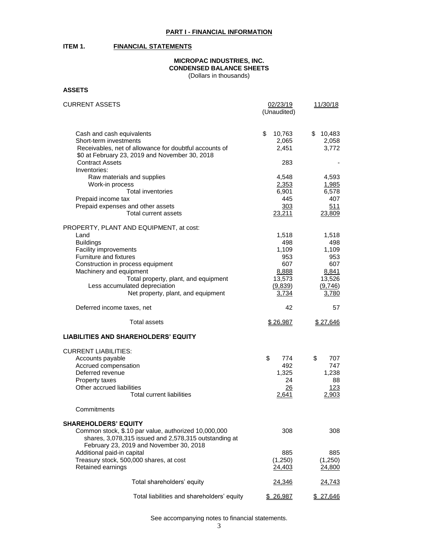## **ITEM 1. FINANCIAL STATEMENTS**

# **MICROPAC INDUSTRIES, INC. CONDENSED BALANCE SHEETS**

(Dollars in thousands)

**ASSETS**

| <b>CURRENT ASSETS</b>                                                    | 02/23/19     | 11/30/18  |  |
|--------------------------------------------------------------------------|--------------|-----------|--|
|                                                                          | (Unaudited)  |           |  |
|                                                                          |              |           |  |
| Cash and cash equivalents                                                | \$<br>10,763 | \$10,483  |  |
| Short-term investments                                                   | 2,065        | 2,058     |  |
| Receivables, net of allowance for doubtful accounts of                   | 2,451        | 3,772     |  |
|                                                                          |              |           |  |
| \$0 at February 23, 2019 and November 30, 2018<br><b>Contract Assets</b> | 283          |           |  |
| Inventories:                                                             |              |           |  |
|                                                                          |              |           |  |
| Raw materials and supplies                                               | 4,548        | 4,593     |  |
| Work-in process                                                          | 2,353        | 1,985     |  |
| <b>Total inventories</b>                                                 | 6,901        | 6,578     |  |
| Prepaid income tax                                                       | 445          | 407       |  |
| Prepaid expenses and other assets                                        | 303          | 511       |  |
| Total current assets                                                     | 23,211       | 23,809    |  |
| PROPERTY, PLANT AND EQUIPMENT, at cost:                                  |              |           |  |
| Land                                                                     | 1,518        | 1,518     |  |
| <b>Buildings</b>                                                         | 498          | 498       |  |
| Facility improvements                                                    | 1,109        | 1,109     |  |
| Furniture and fixtures                                                   | 953          | 953       |  |
| Construction in process equipment                                        | 607          | 607       |  |
| Machinery and equipment                                                  | 8,888        | 8,841     |  |
| Total property, plant, and equipment                                     | 13,573       | 13,526    |  |
| Less accumulated depreciation                                            |              |           |  |
| Net property, plant, and equipment                                       | (9,839)      | (9,746)   |  |
|                                                                          | 3,734        | 3,780     |  |
| Deferred income taxes, net                                               | 42           | 57        |  |
|                                                                          |              |           |  |
| Total assets                                                             | \$26,987     | \$27,646  |  |
| <b>LIABILITIES AND SHAREHOLDERS' EQUITY</b>                              |              |           |  |
|                                                                          |              |           |  |
| <b>CURRENT LIABILITIES:</b>                                              |              |           |  |
| Accounts payable                                                         | \$<br>774    | \$<br>707 |  |
| Accrued compensation                                                     | 492          | 747       |  |
| Deferred revenue                                                         | 1,325        | 1,238     |  |
| Property taxes                                                           | 24           | 88        |  |
| Other accrued liabilities                                                | 26           | 123       |  |
| Total current liabilities                                                | 2,641        | 2,903     |  |
| Commitments                                                              |              |           |  |
|                                                                          |              |           |  |
| <b>SHAREHOLDERS' EQUITY</b>                                              |              |           |  |
| Common stock, \$.10 par value, authorized 10,000,000                     | 308          | 308       |  |
| shares, 3,078,315 issued and 2,578,315 outstanding at                    |              |           |  |
| February 23, 2019 and November 30, 2018                                  |              |           |  |
| Additional paid-in capital                                               | 885          | 885       |  |
| Treasury stock, 500,000 shares, at cost                                  | (1,250)      | (1,250)   |  |
| Retained earnings                                                        | 24,403       | 24,800    |  |
|                                                                          |              |           |  |
| Total shareholders' equity                                               | 24,346       | 24,743    |  |
|                                                                          |              |           |  |
| Total liabilities and shareholders' equity                               | \$ 26,987    | \$ 27,646 |  |

See accompanying notes to financial statements.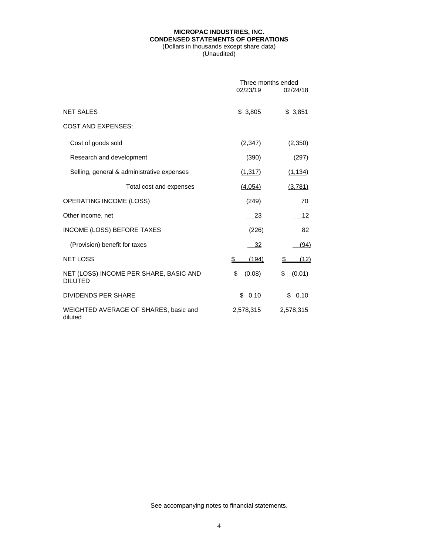## **MICROPAC INDUSTRIES, INC. CONDENSED STATEMENTS OF OPERATIONS** (Dollars in thousands except share data)

(Unaudited)

|                                                          | Three months ended |              |  |
|----------------------------------------------------------|--------------------|--------------|--|
|                                                          | 02/23/19           | 02/24/18     |  |
| <b>NET SALES</b>                                         | \$3,805            | \$3,851      |  |
| <b>COST AND EXPENSES:</b>                                |                    |              |  |
| Cost of goods sold                                       | (2,347)            | (2,350)      |  |
| Research and development                                 | (390)              | (297)        |  |
| Selling, general & administrative expenses               | (1, 317)           | (1, 134)     |  |
| Total cost and expenses                                  | (4,054)            | (3,781)      |  |
| OPERATING INCOME (LOSS)                                  | (249)              | 70           |  |
| Other income, net                                        | 23                 | 12           |  |
| INCOME (LOSS) BEFORE TAXES                               | (226)              | 82           |  |
| (Provision) benefit for taxes                            | 32                 | (94)         |  |
| <b>NET LOSS</b>                                          | (194)<br>S         | (12)<br>\$   |  |
| NET (LOSS) INCOME PER SHARE, BASIC AND<br><b>DILUTED</b> | \$<br>(0.08)       | \$<br>(0.01) |  |
| <b>DIVIDENDS PER SHARE</b>                               | 0.10<br>\$         | \$0.10       |  |
| WEIGHTED AVERAGE OF SHARES, basic and<br>diluted         | 2,578,315          | 2,578,315    |  |

See accompanying notes to financial statements.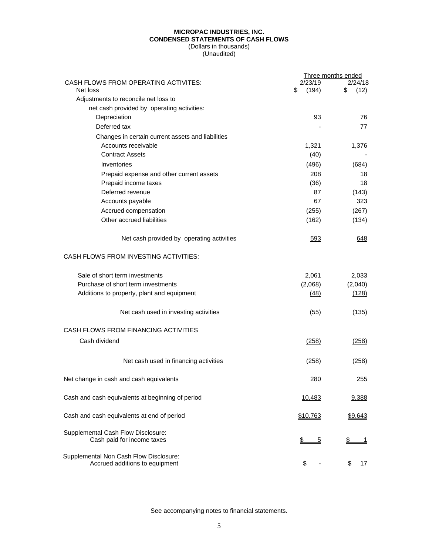### **MICROPAC INDUSTRIES, INC. CONDENSED STATEMENTS OF CASH FLOWS** (Dollars in thousands)

(Unaudited)

|                                                                          |                 | Three months ended |
|--------------------------------------------------------------------------|-----------------|--------------------|
| CASH FLOWS FROM OPERATING ACTIVITES:<br>Net loss                         | /23/19<br>(194) | 2/24/18<br>12)     |
| Adjustments to reconcile net loss to                                     |                 |                    |
| net cash provided by operating activities:                               |                 |                    |
| Depreciation                                                             | 93              | 76                 |
| Deferred tax                                                             |                 | 77                 |
| Changes in certain current assets and liabilities                        |                 |                    |
| Accounts receivable                                                      | 1,321           | 1,376              |
| <b>Contract Assets</b>                                                   | (40)            |                    |
| Inventories                                                              | (496)           | (684)              |
| Prepaid expense and other current assets                                 | 208             | 18                 |
| Prepaid income taxes                                                     | (36)            | 18                 |
| Deferred revenue                                                         | 87              | (143)              |
| Accounts payable                                                         | 67              | 323                |
| Accrued compensation                                                     | (255)           | (267)              |
| Other accrued liabilities                                                | (162)           | (134)              |
|                                                                          |                 |                    |
| Net cash provided by operating activities                                | 593             | 648                |
| <b>CASH FLOWS FROM INVESTING ACTIVITIES:</b>                             |                 |                    |
| Sale of short term investments                                           | 2,061           | 2,033              |
| Purchase of short term investments                                       | (2,068)         | (2,040)            |
| Additions to property, plant and equipment                               | (48)            | (128)              |
| Net cash used in investing activities                                    | (55)            | (135)              |
| CASH FLOWS FROM FINANCING ACTIVITIES                                     |                 |                    |
| Cash dividend                                                            | (258)           | (258)              |
| Net cash used in financing activities                                    | (258)           | (258)              |
| Net change in cash and cash equivalents                                  | 280             | 255                |
| Cash and cash equivalents at beginning of period                         | 10,483          | 9,388              |
| Cash and cash equivalents at end of period                               | \$10,763        | \$9,643            |
| Supplemental Cash Flow Disclosure:<br>Cash paid for income taxes         | \$<br>5         | \$<br>1            |
| Supplemental Non Cash Flow Disclosure:<br>Accrued additions to equipment |                 | <u> 17</u>         |

See accompanying notes to financial statements.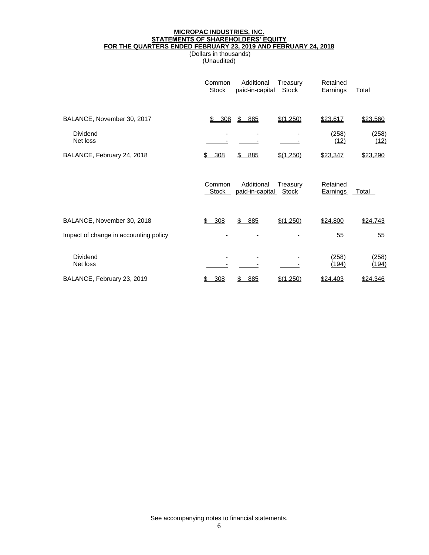### **MICROPAC INDUSTRIES, INC. STATEMENTS OF SHAREHOLDERS' EQUITY FOR THE QUARTERS ENDED FEBRUARY 23, 2019 AND FEBRUARY 24, 2018**

(Dollars in thousands) (Unaudited)

|                                       | Common<br><b>Stock</b> | Additional<br>paid-in-capital | Treasury<br><b>Stock</b> | Retained<br><b>Earnings</b> | <b>Total</b>   |
|---------------------------------------|------------------------|-------------------------------|--------------------------|-----------------------------|----------------|
| BALANCE, November 30, 2017            | \$<br>308              | \$<br>885                     | \$(1,250)                | \$23,617                    | \$23,560       |
| Dividend<br>Net loss                  |                        |                               |                          | (258)<br>(12)               | (258)<br>(12)  |
| BALANCE, February 24, 2018            | \$308                  | 885<br>\$.                    | \$(1,250)                | \$23,347                    | \$23,290       |
|                                       | Common<br><b>Stock</b> | Additional<br>paid-in-capital | Treasury<br><b>Stock</b> | Retained<br><b>Earnings</b> | <b>Total</b>   |
| BALANCE, November 30, 2018            | 308<br>\$              | \$<br>885                     | \$(1,250)                | \$24,800                    | \$24,743       |
| Impact of change in accounting policy |                        |                               |                          | 55                          | 55             |
| Dividend<br>Net loss                  |                        |                               |                          | (258)<br>(194)              | (258)<br>(194) |
| BALANCE, February 23, 2019            | 308<br>\$              | 885<br>S                      | \$(1,250)                | \$24,403                    | \$24,346       |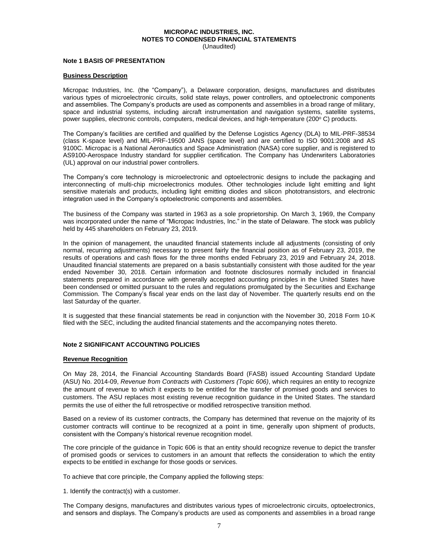#### **MICROPAC INDUSTRIES, INC. NOTES TO CONDENSED FINANCIAL STATEMENTS** (Unaudited)

#### **Note 1 BASIS OF PRESENTATION**

#### **Business Description**

Micropac Industries, Inc. (the "Company"), a Delaware corporation, designs, manufactures and distributes various types of microelectronic circuits, solid state relays, power controllers, and optoelectronic components and assemblies. The Company's products are used as components and assemblies in a broad range of military, space and industrial systems, including aircraft instrumentation and navigation systems, satellite systems, power supplies, electronic controls, computers, medical devices, and high-temperature (200°C) products.

The Company's facilities are certified and qualified by the Defense Logistics Agency (DLA) to MIL-PRF-38534 (class K-space level) and MIL-PRF-19500 JANS (space level) and are certified to ISO 9001:2008 and AS 9100C. Micropac is a National Aeronautics and Space Administration (NASA) core supplier, and is registered to AS9100-Aerospace Industry standard for supplier certification. The Company has Underwriters Laboratories (UL) approval on our industrial power controllers.

The Company's core technology is microelectronic and optoelectronic designs to include the packaging and interconnecting of multi-chip microelectronics modules. Other technologies include light emitting and light sensitive materials and products, including light emitting diodes and silicon phototransistors, and electronic integration used in the Company's optoelectronic components and assemblies.

The business of the Company was started in 1963 as a sole proprietorship. On March 3, 1969, the Company was incorporated under the name of "Micropac Industries, Inc." in the state of Delaware. The stock was publicly held by 445 shareholders on February 23, 2019.

In the opinion of management, the unaudited financial statements include all adjustments (consisting of only normal, recurring adjustments) necessary to present fairly the financial position as of February 23, 2019, the results of operations and cash flows for the three months ended February 23, 2019 and February 24, 2018. Unaudited financial statements are prepared on a basis substantially consistent with those audited for the year ended November 30, 2018. Certain information and footnote disclosures normally included in financial statements prepared in accordance with generally accepted accounting principles in the United States have been condensed or omitted pursuant to the rules and regulations promulgated by the Securities and Exchange Commission. The Company's fiscal year ends on the last day of November. The quarterly results end on the last Saturday of the quarter.

It is suggested that these financial statements be read in conjunction with the November 30, 2018 Form 10-K filed with the SEC, including the audited financial statements and the accompanying notes thereto.

### **Note 2 SIGNIFICANT ACCOUNTING POLICIES**

#### **Revenue Recognition**

On May 28, 2014, the Financial Accounting Standards Board (FASB) issued Accounting Standard Update (ASU) No. 2014-09, *Revenue from Contracts with Customers (Topic 606)*, which requires an entity to recognize the amount of revenue to which it expects to be entitled for the transfer of promised goods and services to customers. The ASU replaces most existing revenue recognition guidance in the United States. The standard permits the use of either the full retrospective or modified retrospective transition method.

Based on a review of its customer contracts, the Company has determined that revenue on the majority of its customer contracts will continue to be recognized at a point in time, generally upon shipment of products, consistent with the Company's historical revenue recognition model.

The core principle of the guidance in Topic 606 is that an entity should recognize revenue to depict the transfer of promised goods or services to customers in an amount that reflects the consideration to which the entity expects to be entitled in exchange for those goods or services.

To achieve that core principle, the Company applied the following steps:

1. Identify the contract(s) with a customer.

The Company designs, manufactures and distributes various types of microelectronic circuits, optoelectronics, and sensors and displays. The Company's products are used as components and assemblies in a broad range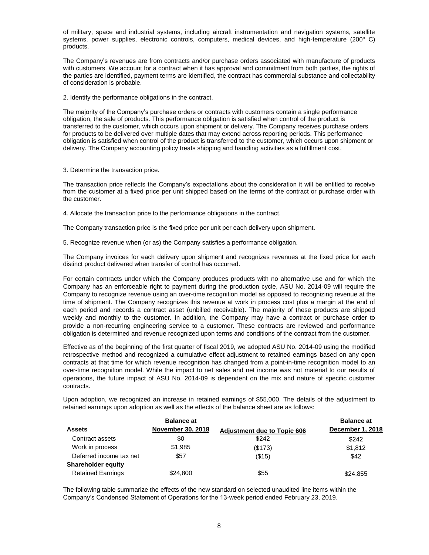of military, space and industrial systems, including aircraft instrumentation and navigation systems, satellite systems, power supplies, electronic controls, computers, medical devices, and high-temperature (200° C) products.

The Company's revenues are from contracts and/or purchase orders associated with manufacture of products with customers. We account for a contract when it has approval and commitment from both parties, the rights of the parties are identified, payment terms are identified, the contract has commercial substance and collectability of consideration is probable.

2. Identify the performance obligations in the contract.

The majority of the Company's purchase orders or contracts with customers contain a single performance obligation, the sale of products. This performance obligation is satisfied when control of the product is transferred to the customer, which occurs upon shipment or delivery. The Company receives purchase orders for products to be delivered over multiple dates that may extend across reporting periods. This performance obligation is satisfied when control of the product is transferred to the customer, which occurs upon shipment or delivery. The Company accounting policy treats shipping and handling activities as a fulfillment cost.

3. Determine the transaction price.

The transaction price reflects the Company's expectations about the consideration it will be entitled to receive from the customer at a fixed price per unit shipped based on the terms of the contract or purchase order with the customer.

4. Allocate the transaction price to the performance obligations in the contract.

The Company transaction price is the fixed price per unit per each delivery upon shipment.

5. Recognize revenue when (or as) the Company satisfies a performance obligation.

The Company invoices for each delivery upon shipment and recognizes revenues at the fixed price for each distinct product delivered when transfer of control has occurred.

For certain contracts under which the Company produces products with no alternative use and for which the Company has an enforceable right to payment during the production cycle, ASU No. 2014-09 will require the Company to recognize revenue using an over-time recognition model as opposed to recognizing revenue at the time of shipment. The Company recognizes this revenue at work in process cost plus a margin at the end of each period and records a contract asset (unbilled receivable). The majority of these products are shipped weekly and monthly to the customer. In addition, the Company may have a contract or purchase order to provide a non-recurring engineering service to a customer. These contracts are reviewed and performance obligation is determined and revenue recognized upon terms and conditions of the contract from the customer.

Effective as of the beginning of the first quarter of fiscal 2019, we adopted ASU No. 2014-09 using the modified retrospective method and recognized a cumulative effect adjustment to retained earnings based on any open contracts at that time for which revenue recognition has changed from a point-in-time recognition model to an over-time recognition model. While the impact to net sales and net income was not material to our results of operations, the future impact of ASU No. 2014-09 is dependent on the mix and nature of specific customer contracts.

Upon adoption, we recognized an increase in retained earnings of \$55,000. The details of the adjustment to retained earnings upon adoption as well as the effects of the balance sheet are as follows:

|                           | <b>Balance at</b>        |                                    | <b>Balance at</b> |
|---------------------------|--------------------------|------------------------------------|-------------------|
| <b>Assets</b>             | <b>November 30, 2018</b> | <b>Adjustment due to Topic 606</b> | December 1, 2018  |
| Contract assets           | \$0                      | \$242                              | \$242             |
| Work in process           | \$1,985                  | (\$173)                            | \$1,812           |
| Deferred income tax net   | \$57                     | (\$15)                             | \$42              |
| <b>Shareholder equity</b> |                          |                                    |                   |
| <b>Retained Earnings</b>  | \$24,800                 | \$55                               | \$24,855          |

The following table summarize the effects of the new standard on selected unaudited line items within the Company's Condensed Statement of Operations for the 13-week period ended February 23, 2019.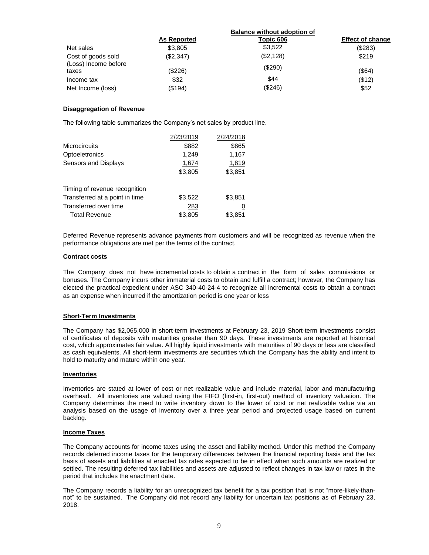|                               |                    | <b>Balance without adoption of</b> |                         |
|-------------------------------|--------------------|------------------------------------|-------------------------|
|                               | <b>As Reported</b> | Topic 606                          | <b>Effect of change</b> |
| Net sales                     | \$3,805            | \$3,522                            | (\$283)                 |
| Cost of goods sold            | (\$2,347)          | (\$2,128)                          | \$219                   |
| (Loss) Income before<br>taxes | $(\$226)$          | (\$290)                            | (\$64)                  |
| Income tax                    | \$32               | \$44                               | (\$12)                  |
| Net Income (loss)             | $($ \$194 $)$      | (\$246)                            | \$52                    |

### **Disaggregation of Revenue**

The following table summarizes the Company's net sales by product line.

|                                | 2/23/2019 | 2/24/2018 |
|--------------------------------|-----------|-----------|
| <b>Microcircuits</b>           | \$882     | \$865     |
| Optoeletronics                 | 1,249     | 1,167     |
| Sensors and Displays           | 1,674     | 1,819     |
|                                | \$3,805   | \$3,851   |
| Timing of revenue recognition  |           |           |
| Transferred at a point in time | \$3,522   | \$3,851   |
| Transferred over time          | 283       | <u>0</u>  |
| <b>Total Revenue</b>           | \$3,805   | \$3,851   |

Deferred Revenue represents advance payments from customers and will be recognized as revenue when the performance obligations are met per the terms of the contract.

### **Contract costs**

The Company does not have incremental costs to obtain a contract in the form of sales commissions or bonuses. The Company incurs other immaterial costs to obtain and fulfill a contract; however, the Company has elected the practical expedient under ASC 340-40-24-4 to recognize all incremental costs to obtain a contract as an expense when incurred if the amortization period is one year or less

### **Short-Term Investments**

The Company has \$2,065,000 in short-term investments at February 23, 2019 Short-term investments consist of certificates of deposits with maturities greater than 90 days. These investments are reported at historical cost, which approximates fair value. All highly liquid investments with maturities of 90 days or less are classified as cash equivalents. All short-term investments are securities which the Company has the ability and intent to hold to maturity and mature within one year.

### **Inventories**

Inventories are stated at lower of cost or net realizable value and include material, labor and manufacturing overhead. All inventories are valued using the FIFO (first-in, first-out) method of inventory valuation. The Company determines the need to write inventory down to the lower of cost or net realizable value via an analysis based on the usage of inventory over a three year period and projected usage based on current backlog.

### **Income Taxes**

The Company accounts for income taxes using the asset and liability method. Under this method the Company records deferred income taxes for the temporary differences between the financial reporting basis and the tax basis of assets and liabilities at enacted tax rates expected to be in effect when such amounts are realized or settled. The resulting deferred tax liabilities and assets are adjusted to reflect changes in tax law or rates in the period that includes the enactment date.

The Company records a liability for an unrecognized tax benefit for a tax position that is not "more-likely-thannot" to be sustained. The Company did not record any liability for uncertain tax positions as of February 23, 2018.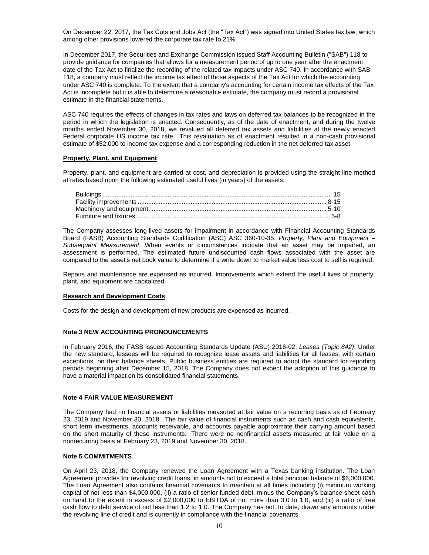On December 22, 2017, the Tax Cuts and Jobs Act (the "Tax Act") was signed into United States tax law, which among other provisions lowered the corporate tax rate to 21%.

In December 2017, the Securities and Exchange Commission issued Staff Accounting Bulletin ("SAB") 118 to provide guidance for companies that allows for a measurement period of up to one year after the enactment date of the Tax Act to finalize the recording of the related tax impacts under ASC 740. In accordance with SAB 118, a company must reflect the income tax effect of those aspects of the Tax Act for which the accounting under ASC 740 is complete. To the extent that a company's accounting for certain income tax effects of the Tax Act is incomplete but it is able to determine a reasonable estimate, the company must record a provisional estimate in the financial statements.

ASC 740 requires the effects of changes in tax rates and laws on deferred tax balances to be recognized in the period in which the legislation is enacted. Consequently, as of the date of enactment, and during the twelve months ended November 30, 2018, we revalued all deferred tax assets and liabilities at the newly enacted Federal corporate US income tax rate. This revaluation as of enactment resulted in a non-cash provisional estimate of \$52,000 to income tax expense and a corresponding reduction in the net deferred tax asset.

### **Property, Plant, and Equipment**

Property, plant, and equipment are carried at cost, and depreciation is provided using the straight-line method at rates based upon the following estimated useful lives (in years) of the assets:

The Company assesses long-lived assets for impairment in accordance with Financial Accounting Standards Board (FASB) Accounting Standards Codification (ASC) ASC 360-10-35, *Property, Plant and Equipment – Subsequent Measurement*. When events or circumstances indicate that an asset may be impaired, an assessment is performed. The estimated future undiscounted cash flows associated with the asset are compared to the asset's net book value to determine if a write down to market value less cost to sell is required.

Repairs and maintenance are expensed as incurred. Improvements which extend the useful lives of property, plant, and equipment are capitalized.

#### **Research and Development Costs**

Costs for the design and development of new products are expensed as incurred.

### **Note 3 NEW ACCOUNTING PRONOUNCEMENTS**

In February 2016, the FASB issued Accounting Standards Update (ASU) 2016-02, *Leases (Topic 842)*. Under the new standard, lessees will be required to recognize lease assets and liabilities for all leases, with certain exceptions, on their balance sheets. Public business entities are required to adopt the standard for reporting periods beginning after December 15, 2018. The Company does not expect the adoption of this guidance to have a material impact on its consolidated financial statements.

#### **Note 4 FAIR VALUE MEASUREMENT**

The Company had no financial assets or liabilities measured at fair value on a recurring basis as of February 23, 2019 and November 30, 2018. The fair value of financial instruments such as cash and cash equivalents, short term investments, accounts receivable, and accounts payable approximate their carrying amount based on the short maturity of these instruments. There were no nonfinancial assets measured at fair value on a nonrecurring basis at February 23, 2019 and November 30, 2018.

#### **Note 5 COMMITMENTS**

On April 23, 2018, the Company renewed the Loan Agreement with a Texas banking institution. The Loan Agreement provides for revolving credit loans, in amounts not to exceed a total principal balance of \$6,000,000. The Loan Agreement also contains financial covenants to maintain at all times including (i) minimum working capital of not less than \$4,000,000, (ii) a ratio of senior funded debt, minus the Company's balance sheet cash on hand to the extent in excess of \$2,000,000 to EBITDA of not more than 3.0 to 1.0, and (iii) a ratio of free cash flow to debt service of not less than 1.2 to 1.0. The Company has not, to date, drawn any amounts under the revolving line of credit and is currently in compliance with the financial covenants.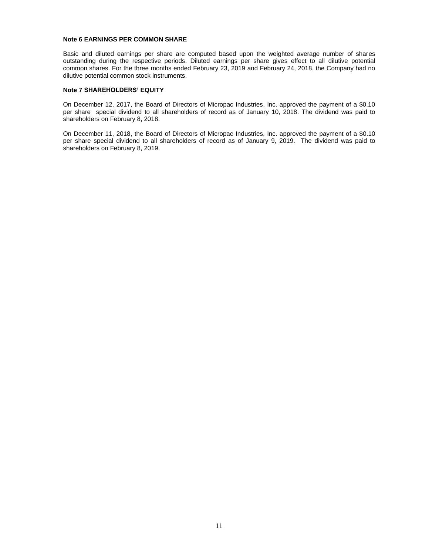### **Note 6 EARNINGS PER COMMON SHARE**

Basic and diluted earnings per share are computed based upon the weighted average number of shares outstanding during the respective periods. Diluted earnings per share gives effect to all dilutive potential common shares. For the three months ended February 23, 2019 and February 24, 2018, the Company had no dilutive potential common stock instruments.

### **Note 7 SHAREHOLDERS' EQUITY**

On December 12, 2017, the Board of Directors of Micropac Industries, Inc. approved the payment of a \$0.10 per share special dividend to all shareholders of record as of January 10, 2018. The dividend was paid to shareholders on February 8, 2018.

On December 11, 2018, the Board of Directors of Micropac Industries, Inc. approved the payment of a \$0.10 per share special dividend to all shareholders of record as of January 9, 2019. The dividend was paid to shareholders on February 8, 2019.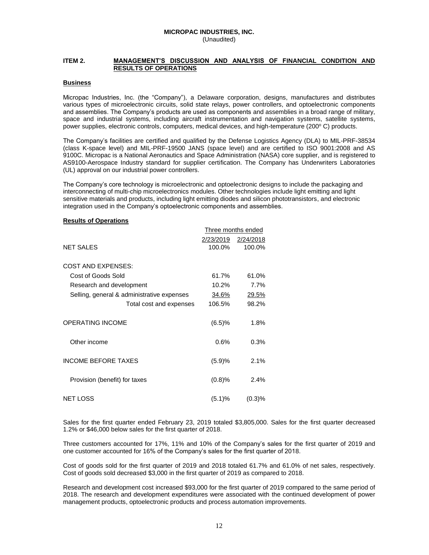### **MICROPAC INDUSTRIES, INC.** (Unaudited)

### **ITEM 2. MANAGEMENT'S DISCUSSION AND ANALYSIS OF FINANCIAL CONDITION AND RESULTS OF OPERATIONS**

### **Business**

Micropac Industries, Inc. (the "Company"), a Delaware corporation, designs, manufactures and distributes various types of microelectronic circuits, solid state relays, power controllers, and optoelectronic components and assemblies. The Company's products are used as components and assemblies in a broad range of military, space and industrial systems, including aircraft instrumentation and navigation systems, satellite systems, power supplies, electronic controls, computers, medical devices, and high-temperature (200°C) products.

The Company's facilities are certified and qualified by the Defense Logistics Agency (DLA) to MIL-PRF-38534 (class K-space level) and MIL-PRF-19500 JANS (space level) and are certified to ISO 9001:2008 and AS 9100C. Micropac is a National Aeronautics and Space Administration (NASA) core supplier, and is registered to AS9100-Aerospace Industry standard for supplier certification. The Company has Underwriters Laboratories (UL) approval on our industrial power controllers.

The Company's core technology is microelectronic and optoelectronic designs to include the packaging and interconnecting of multi-chip microelectronics modules. Other technologies include light emitting and light sensitive materials and products, including light emitting diodes and silicon phototransistors, and electronic integration used in the Company's optoelectronic components and assemblies.

#### **Results of Operations**

|                                            |           | Three months ended |
|--------------------------------------------|-----------|--------------------|
|                                            | 2/23/2019 | 2/24/2018          |
| <b>NET SALES</b>                           | 100.0%    | 100.0%             |
|                                            |           |                    |
| <b>COST AND EXPENSES:</b>                  |           |                    |
| Cost of Goods Sold                         | 61.7%     | 61.0%              |
| Research and development                   | 10.2%     | 7.7%               |
| Selling, general & administrative expenses | 34.6%     | 29.5%              |
| Total cost and expenses                    | 106.5%    | 98.2%              |
|                                            |           |                    |
| <b>OPERATING INCOME</b>                    | (6.5)%    | 1.8%               |
|                                            |           |                    |
| Other income                               | 0.6%      | 0.3%               |
|                                            |           |                    |
| <b>INCOME BEFORE TAXES</b>                 | (5.9)%    | 2.1%               |
|                                            |           |                    |
| Provision (benefit) for taxes              | (0.8)%    | 2.4%               |
|                                            |           |                    |
| <b>NET LOSS</b>                            | (5.1)%    | (0.3)%             |

Sales for the first quarter ended February 23, 2019 totaled \$3,805,000. Sales for the first quarter decreased 1.2% or \$46,000 below sales for the first quarter of 2018.

Three customers accounted for 17%, 11% and 10% of the Company's sales for the first quarter of 2019 and one customer accounted for 16% of the Company's sales for the first quarter of 2018.

Cost of goods sold for the first quarter of 2019 and 2018 totaled 61.7% and 61.0% of net sales, respectively. Cost of goods sold decreased \$3,000 in the first quarter of 2019 as compared to 2018.

Research and development cost increased \$93,000 for the first quarter of 2019 compared to the same period of 2018. The research and development expenditures were associated with the continued development of power management products, optoelectronic products and process automation improvements.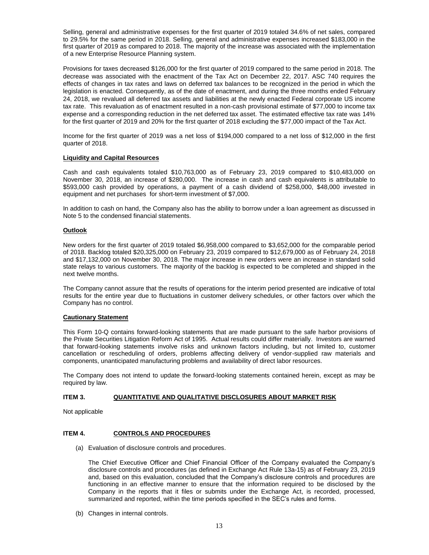Selling, general and administrative expenses for the first quarter of 2019 totaled 34.6% of net sales, compared to 29.5% for the same period in 2018. Selling, general and administrative expenses increased \$183,000 in the first quarter of 2019 as compared to 2018. The majority of the increase was associated with the implementation of a new Enterprise Resource Planning system.

Provisions for taxes decreased \$126,000 for the first quarter of 2019 compared to the same period in 2018. The decrease was associated with the enactment of the Tax Act on December 22, 2017. ASC 740 requires the effects of changes in tax rates and laws on deferred tax balances to be recognized in the period in which the legislation is enacted. Consequently, as of the date of enactment, and during the three months ended February 24, 2018, we revalued all deferred tax assets and liabilities at the newly enacted Federal corporate US income tax rate. This revaluation as of enactment resulted in a non-cash provisional estimate of \$77,000 to income tax expense and a corresponding reduction in the net deferred tax asset. The estimated effective tax rate was 14% for the first quarter of 2019 and 20% for the first quarter of 2018 excluding the \$77,000 impact of the Tax Act.

Income for the first quarter of 2019 was a net loss of \$194,000 compared to a net loss of \$12,000 in the first quarter of 2018.

### **Liquidity and Capital Resources**

Cash and cash equivalents totaled \$10,763,000 as of February 23, 2019 compared to \$10,483,000 on November 30, 2018, an increase of \$280,000. The increase in cash and cash equivalents is attributable to \$593,000 cash provided by operations, a payment of a cash dividend of \$258,000, \$48,000 invested in equipment and net purchases for short-term investment of \$7,000.

In addition to cash on hand, the Company also has the ability to borrow under a loan agreement as discussed in Note 5 to the condensed financial statements.

#### **Outlook**

New orders for the first quarter of 2019 totaled \$6,958,000 compared to \$3,652,000 for the comparable period of 2018. Backlog totaled \$20,325,000 on February 23, 2019 compared to \$12,679,000 as of February 24, 2018 and \$17,132,000 on November 30, 2018. The major increase in new orders were an increase in standard solid state relays to various customers. The majority of the backlog is expected to be completed and shipped in the next twelve months.

The Company cannot assure that the results of operations for the interim period presented are indicative of total results for the entire year due to fluctuations in customer delivery schedules, or other factors over which the Company has no control.

#### **Cautionary Statement**

This Form 10-Q contains forward-looking statements that are made pursuant to the safe harbor provisions of the Private Securities Litigation Reform Act of 1995. Actual results could differ materially. Investors are warned that forward-looking statements involve risks and unknown factors including, but not limited to, customer cancellation or rescheduling of orders, problems affecting delivery of vendor-supplied raw materials and components, unanticipated manufacturing problems and availability of direct labor resources.

The Company does not intend to update the forward-looking statements contained herein, except as may be required by law.

### **ITEM 3. QUANTITATIVE AND QUALITATIVE DISCLOSURES ABOUT MARKET RISK**

Not applicable

### **ITEM 4. CONTROLS AND PROCEDURES**

(a) Evaluation of disclosure controls and procedures.

The Chief Executive Officer and Chief Financial Officer of the Company evaluated the Company's disclosure controls and procedures (as defined in Exchange Act Rule 13a-15) as of February 23, 2019 and, based on this evaluation, concluded that the Company's disclosure controls and procedures are functioning in an effective manner to ensure that the information required to be disclosed by the Company in the reports that it files or submits under the Exchange Act, is recorded, processed, summarized and reported, within the time periods specified in the SEC's rules and forms.

(b) Changes in internal controls.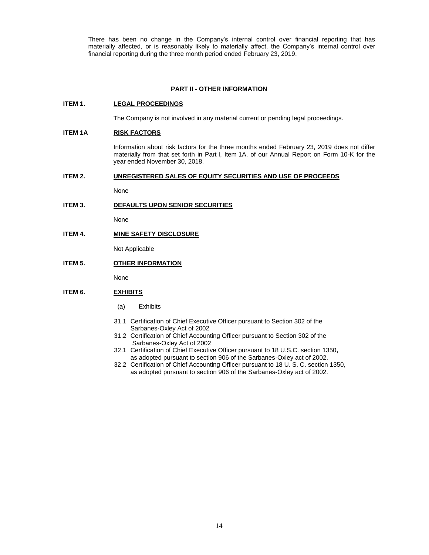There has been no change in the Company's internal control over financial reporting that has materially affected, or is reasonably likely to materially affect, the Company's internal control over financial reporting during the three month period ended February 23, 2019.

### **PART II - OTHER INFORMATION**

### **ITEM 1. LEGAL PROCEEDINGS**

The Company is not involved in any material current or pending legal proceedings.

### **ITEM 1A RISK FACTORS**

Information about risk factors for the three months ended February 23, 2019 does not differ materially from that set forth in Part I, Item 1A, of our Annual Report on Form 10-K for the year ended November 30, 2018.

#### **ITEM 2. UNREGISTERED SALES OF EQUITY SECURITIES AND USE OF PROCEEDS**

None

### **ITEM 3. DEFAULTS UPON SENIOR SECURITIES**

None

**ITEM 4. MINE SAFETY DISCLOSURE**

Not Applicable

## **ITEM 5. OTHER INFORMATION**

None

### **ITEM 6. EXHIBITS**

- (a) Exhibits
- 31.1 Certification of Chief Executive Officer pursuant to Section 302 of the Sarbanes-Oxley Act of 2002
- 31.2 Certification of Chief Accounting Officer pursuant to Section 302 of the Sarbanes-Oxley Act of 2002
- 32.1 Certification of Chief Executive Officer pursuant to 18 U.S.C. section 1350**,**  as adopted pursuant to section 906 of the Sarbanes-Oxley act of 2002.
- 32.2 Certification of Chief Accounting Officer pursuant to 18 U. S. C. section 1350, as adopted pursuant to section 906 of the Sarbanes-Oxley act of 2002.